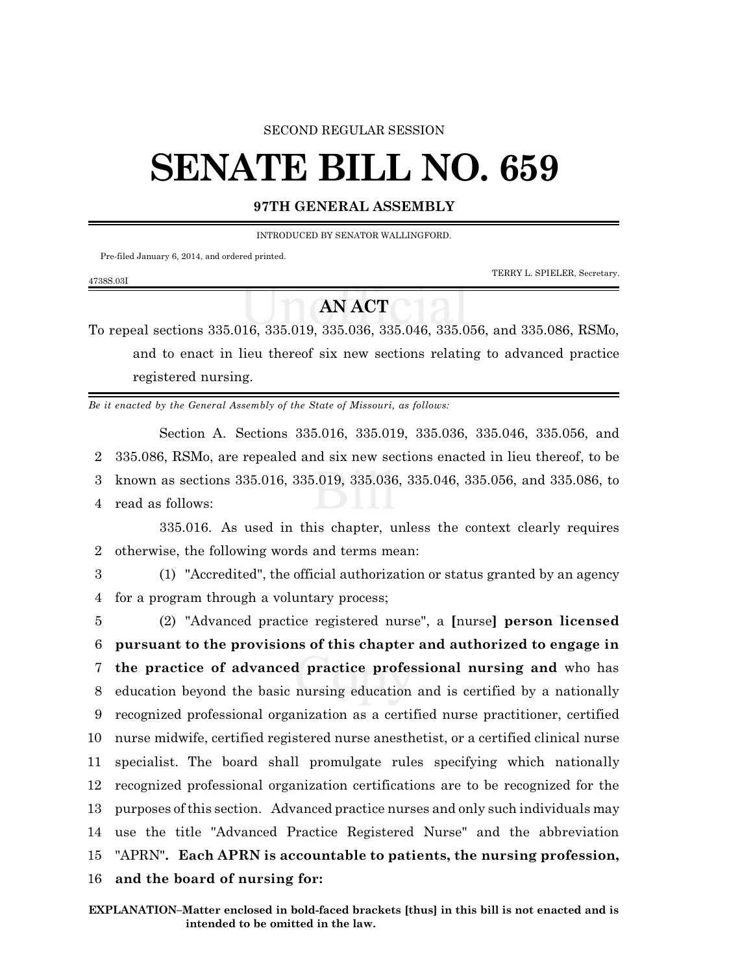#### SECOND REGULAR SESSION

# **SENATE BILL NO. 659**

#### **97TH GENERAL ASSEMBLY**

INTRODUCED BY SENATOR WALLINGFORD.

Pre-filed January 6, 2014, and ordered printed.

TERRY L. SPIELER, Secretary.

## **AN ACT**

To repeal sections 335.016, 335.019, 335.036, 335.046, 335.056, and 335.086, RSMo, and to enact in lieu thereof six new sections relating to advanced practice registered nursing.

*Be it enacted by the General Assembly of the State of Missouri, as follows:*

Section A. Sections 335.016, 335.019, 335.036, 335.046, 335.056, and 335.086, RSMo, are repealed and six new sections enacted in lieu thereof, to be known as sections 335.016, 335.019, 335.036, 335.046, 335.056, and 335.086, to read as follows:

335.016. As used in this chapter, unless the context clearly requires 2 otherwise, the following words and terms mean:

4738S.03I

3 (1) "Accredited", the official authorization or status granted by an agency 4 for a program through a voluntary process;

 (2) "Advanced practice registered nurse", a **[**nurse**] person licensed pursuant to the provisions of this chapter and authorized to engage in the practice of advanced practice professional nursing and** who has education beyond the basic nursing education and is certified by a nationally recognized professional organization as a certified nurse practitioner, certified nurse midwife, certified registered nurse anesthetist, or a certified clinical nurse specialist. The board shall promulgate rules specifying which nationally recognized professional organization certifications are to be recognized for the purposes ofthis section. Advanced practice nurses and only such individuals may use the title "Advanced Practice Registered Nurse" and the abbreviation "APRN"**. Each APRN is accountable to patients, the nursing profession, and the board of nursing for:**

**EXPLANATION–Matter enclosed in bold-faced brackets [thus] in this bill is not enacted and is intended to be omitted in the law.**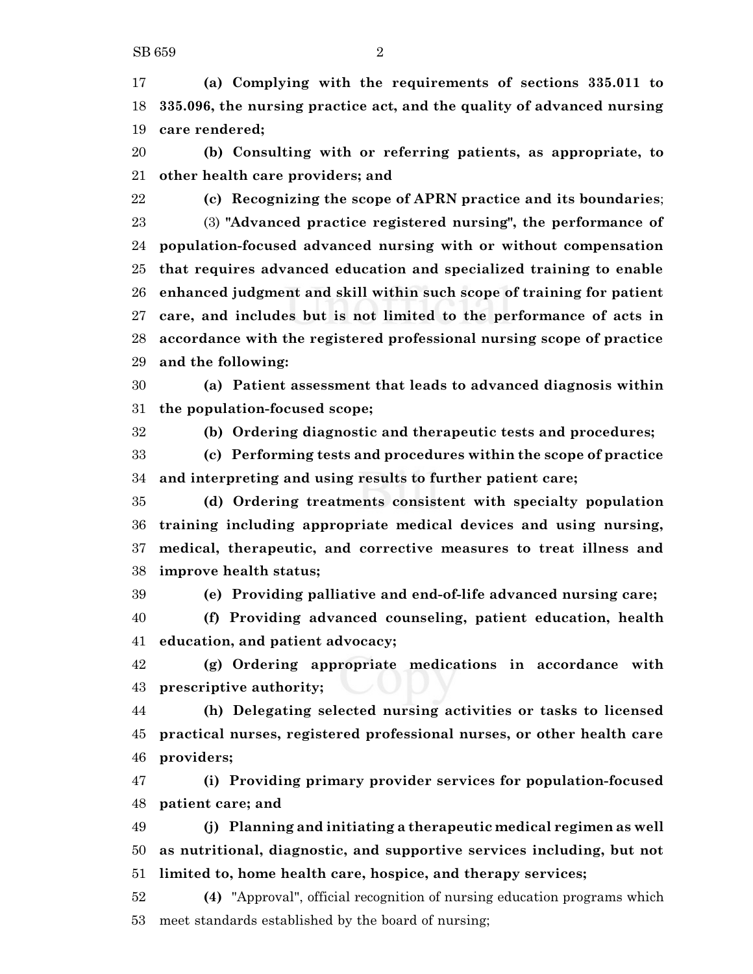**(a) Complying with the requirements of sections 335.011 to 335.096, the nursing practice act, and the quality of advanced nursing care rendered;**

 **(b) Consulting with or referring patients, as appropriate, to other health care providers; and**

 **(c) Recognizing the scope of APRN practice and its boundaries**; (3) **"Advanced practice registered nursing", the performance of population-focused advanced nursing with or without compensation**

 **that requires advanced education and specialized training to enable enhanced judgment and skill within such scope of training for patient care, and includes but is not limited to the performance of acts in accordance with the registered professional nursing scope of practice and the following:**

 **(a) Patient assessment that leads to advanced diagnosis within the population-focused scope;**

**(b) Ordering diagnostic and therapeutic tests and procedures;**

 **(c) Performing tests and procedures within the scope of practice and interpreting and using results to further patient care;**

 **(d) Ordering treatments consistent with specialty population training including appropriate medical devices and using nursing, medical, therapeutic, and corrective measures to treat illness and improve health status;**

**(e) Providing palliative and end-of-life advanced nursing care;**

 **(f) Providing advanced counseling, patient education, health education, and patient advocacy;**

 **(g) Ordering appropriate medications in accordance with prescriptive authority;**

 **(h) Delegating selected nursing activities or tasks to licensed practical nurses, registered professional nurses, or other health care providers;**

 **(i) Providing primary provider services for population-focused patient care; and**

 **(j) Planning and initiating a therapeutic medical regimen as well as nutritional, diagnostic, and supportive services including, but not limited to, home health care, hospice, and therapy services;**

 **(4)** "Approval", official recognition of nursing education programs which meet standards established by the board of nursing;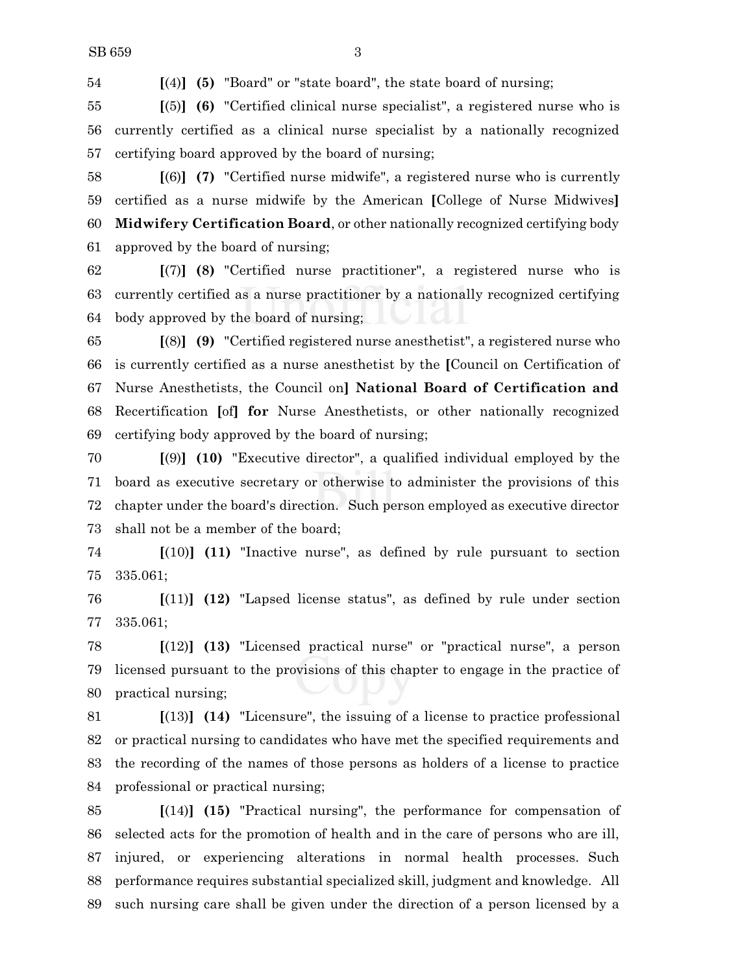**[**(4)**] (5)** "Board" or "state board", the state board of nursing;

 **[**(5)**] (6)** "Certified clinical nurse specialist", a registered nurse who is currently certified as a clinical nurse specialist by a nationally recognized certifying board approved by the board of nursing;

 **[**(6)**] (7)** "Certified nurse midwife", a registered nurse who is currently certified as a nurse midwife by the American **[**College of Nurse Midwives**] Midwifery Certification Board**, or other nationally recognized certifying body approved by the board of nursing;

 **[**(7)**] (8)** "Certified nurse practitioner", a registered nurse who is currently certified as a nurse practitioner by a nationally recognized certifying body approved by the board of nursing;

 **[**(8)**] (9)** "Certified registered nurse anesthetist", a registered nurse who is currently certified as a nurse anesthetist by the **[**Council on Certification of Nurse Anesthetists, the Council on**] National Board of Certification and** Recertification **[**of**] for** Nurse Anesthetists, or other nationally recognized certifying body approved by the board of nursing;

 **[**(9)**] (10)** "Executive director", a qualified individual employed by the board as executive secretary or otherwise to administer the provisions of this chapter under the board's direction. Such person employed as executive director shall not be a member of the board;

 **[**(10)**] (11)** "Inactive nurse", as defined by rule pursuant to section 335.061;

 **[**(11)**] (12)** "Lapsed license status", as defined by rule under section 335.061;

 **[**(12)**] (13)** "Licensed practical nurse" or "practical nurse", a person licensed pursuant to the provisions of this chapter to engage in the practice of practical nursing;

 **[**(13)**] (14)** "Licensure", the issuing of a license to practice professional or practical nursing to candidates who have met the specified requirements and the recording of the names of those persons as holders of a license to practice professional or practical nursing;

 **[**(14)**] (15)** "Practical nursing", the performance for compensation of selected acts for the promotion of health and in the care of persons who are ill, injured, or experiencing alterations in normal health processes. Such performance requires substantial specialized skill, judgment and knowledge. All such nursing care shall be given under the direction of a person licensed by a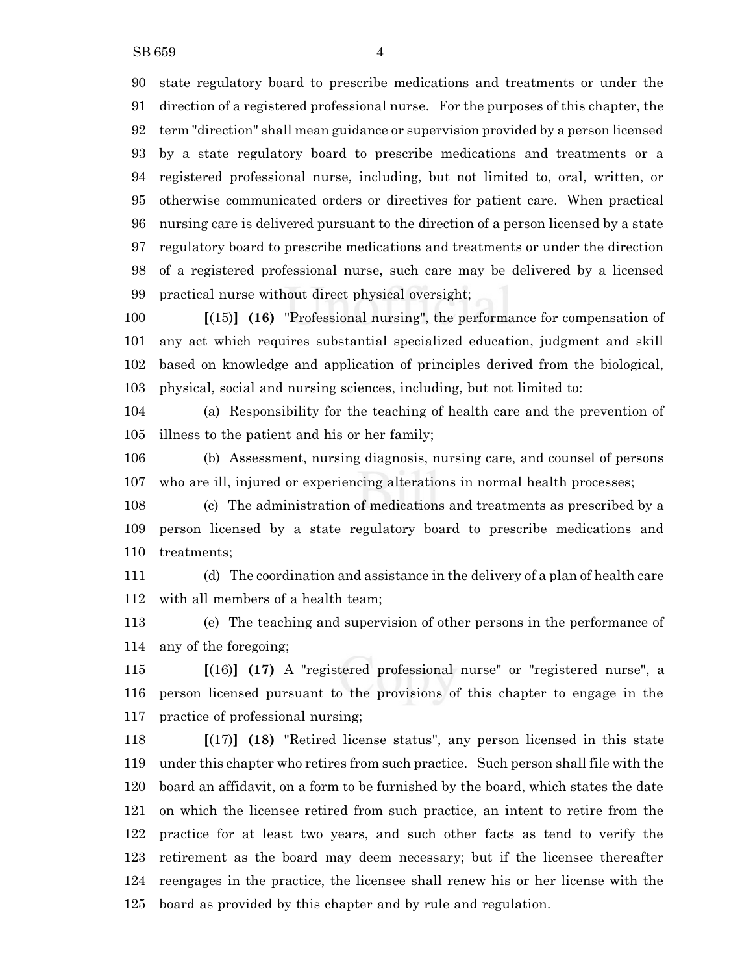state regulatory board to prescribe medications and treatments or under the direction of a registered professional nurse. For the purposes of this chapter, the term "direction" shall mean guidance or supervision provided by a person licensed by a state regulatory board to prescribe medications and treatments or a registered professional nurse, including, but not limited to, oral, written, or otherwise communicated orders or directives for patient care. When practical nursing care is delivered pursuant to the direction of a person licensed by a state regulatory board to prescribe medications and treatments or under the direction of a registered professional nurse, such care may be delivered by a licensed practical nurse without direct physical oversight;

 **[**(15)**] (16)** "Professional nursing", the performance for compensation of any act which requires substantial specialized education, judgment and skill based on knowledge and application of principles derived from the biological, physical, social and nursing sciences, including, but not limited to:

 (a) Responsibility for the teaching of health care and the prevention of illness to the patient and his or her family;

 (b) Assessment, nursing diagnosis, nursing care, and counsel of persons who are ill, injured or experiencing alterations in normal health processes;

 (c) The administration of medications and treatments as prescribed by a person licensed by a state regulatory board to prescribe medications and treatments;

 (d) The coordination and assistance in the delivery of a plan of health care with all members of a health team;

 (e) The teaching and supervision of other persons in the performance of any of the foregoing;

 **[**(16)**] (17)** A "registered professional nurse" or "registered nurse", a person licensed pursuant to the provisions of this chapter to engage in the practice of professional nursing;

 **[**(17)**] (18)** "Retired license status", any person licensed in this state under this chapter who retires from such practice. Such person shall file with the board an affidavit, on a form to be furnished by the board, which states the date on which the licensee retired from such practice, an intent to retire from the practice for at least two years, and such other facts as tend to verify the retirement as the board may deem necessary; but if the licensee thereafter reengages in the practice, the licensee shall renew his or her license with the board as provided by this chapter and by rule and regulation.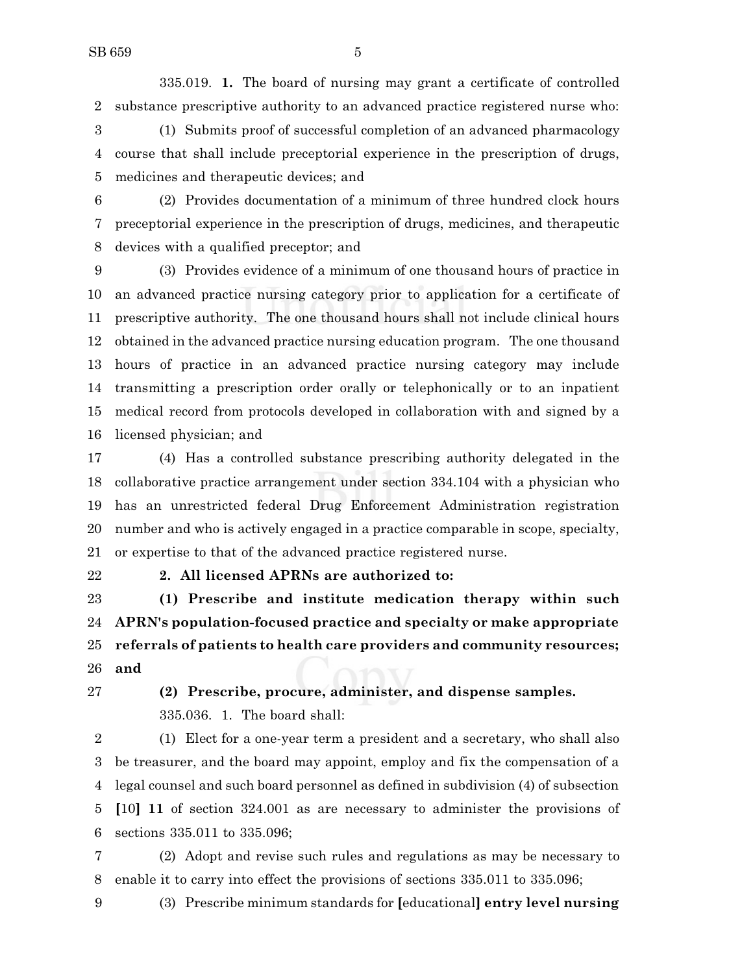335.019. **1.** The board of nursing may grant a certificate of controlled substance prescriptive authority to an advanced practice registered nurse who:

 (1) Submits proof of successful completion of an advanced pharmacology course that shall include preceptorial experience in the prescription of drugs, medicines and therapeutic devices; and

 (2) Provides documentation of a minimum of three hundred clock hours preceptorial experience in the prescription of drugs, medicines, and therapeutic devices with a qualified preceptor; and

 (3) Provides evidence of a minimum of one thousand hours of practice in an advanced practice nursing category prior to application for a certificate of prescriptive authority. The one thousand hours shall not include clinical hours obtained in the advanced practice nursing education program. The one thousand hours of practice in an advanced practice nursing category may include transmitting a prescription order orally or telephonically or to an inpatient medical record from protocols developed in collaboration with and signed by a licensed physician; and

 (4) Has a controlled substance prescribing authority delegated in the collaborative practice arrangement under section 334.104 with a physician who has an unrestricted federal Drug Enforcement Administration registration number and who is actively engaged in a practice comparable in scope, specialty, or expertise to that of the advanced practice registered nurse.

### **2. All licensed APRNs are authorized to:**

 **(1) Prescribe and institute medication therapy within such APRN's population-focused practice and specialty or make appropriate referrals of patients to health care providers and community resources; and**

 **(2) Prescribe, procure, administer, and dispense samples.** 335.036. 1. The board shall:

 (1) Elect for a one-year term a president and a secretary, who shall also be treasurer, and the board may appoint, employ and fix the compensation of a legal counsel and such board personnel as defined in subdivision (4) of subsection **[**10**] 11** of section 324.001 as are necessary to administer the provisions of sections 335.011 to 335.096;

 (2) Adopt and revise such rules and regulations as may be necessary to enable it to carry into effect the provisions of sections 335.011 to 335.096;

(3) Prescribe minimum standards for **[**educational**] entry level nursing**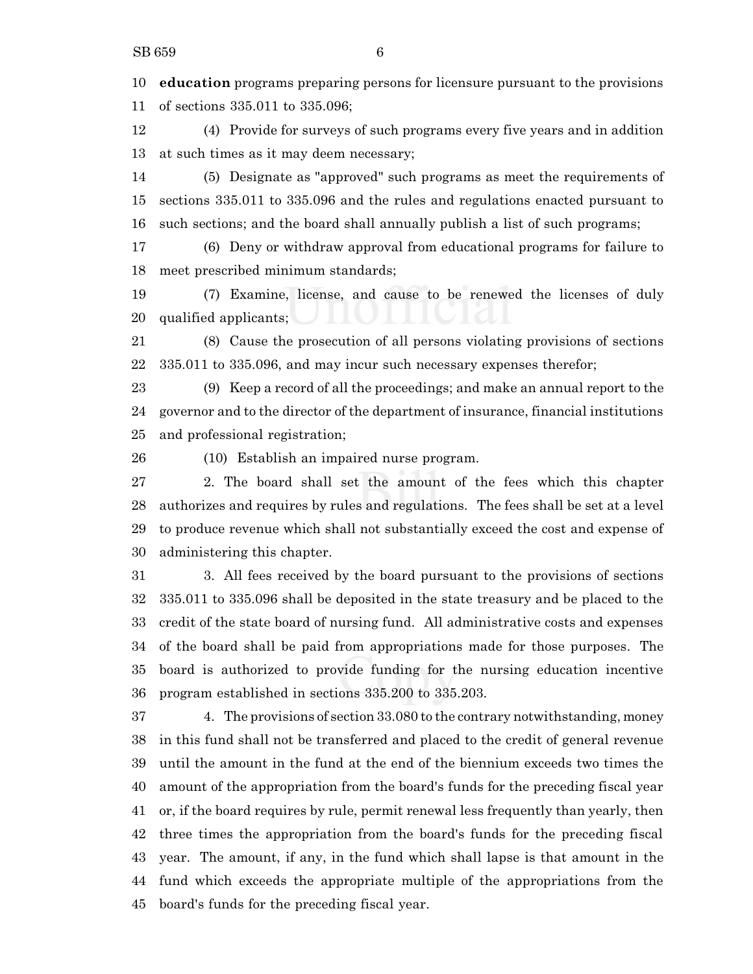**education** programs preparing persons for licensure pursuant to the provisions of sections 335.011 to 335.096;

 (4) Provide for surveys of such programs every five years and in addition at such times as it may deem necessary;

 (5) Designate as "approved" such programs as meet the requirements of sections 335.011 to 335.096 and the rules and regulations enacted pursuant to such sections; and the board shall annually publish a list of such programs;

 (6) Deny or withdraw approval from educational programs for failure to meet prescribed minimum standards;

 (7) Examine, license, and cause to be renewed the licenses of duly qualified applicants;

 (8) Cause the prosecution of all persons violating provisions of sections 335.011 to 335.096, and may incur such necessary expenses therefor;

 (9) Keep a record of all the proceedings; and make an annual report to the governor and to the director of the department of insurance, financial institutions and professional registration;

(10) Establish an impaired nurse program.

 2. The board shall set the amount of the fees which this chapter authorizes and requires by rules and regulations. The fees shall be set at a level to produce revenue which shall not substantially exceed the cost and expense of administering this chapter.

 3. All fees received by the board pursuant to the provisions of sections 335.011 to 335.096 shall be deposited in the state treasury and be placed to the credit of the state board of nursing fund. All administrative costs and expenses of the board shall be paid from appropriations made for those purposes. The board is authorized to provide funding for the nursing education incentive program established in sections 335.200 to 335.203.

 4. The provisions of section 33.080 to the contrary notwithstanding, money in this fund shall not be transferred and placed to the credit of general revenue until the amount in the fund at the end of the biennium exceeds two times the amount of the appropriation from the board's funds for the preceding fiscal year or, if the board requires by rule, permit renewal less frequently than yearly, then three times the appropriation from the board's funds for the preceding fiscal year. The amount, if any, in the fund which shall lapse is that amount in the fund which exceeds the appropriate multiple of the appropriations from the board's funds for the preceding fiscal year.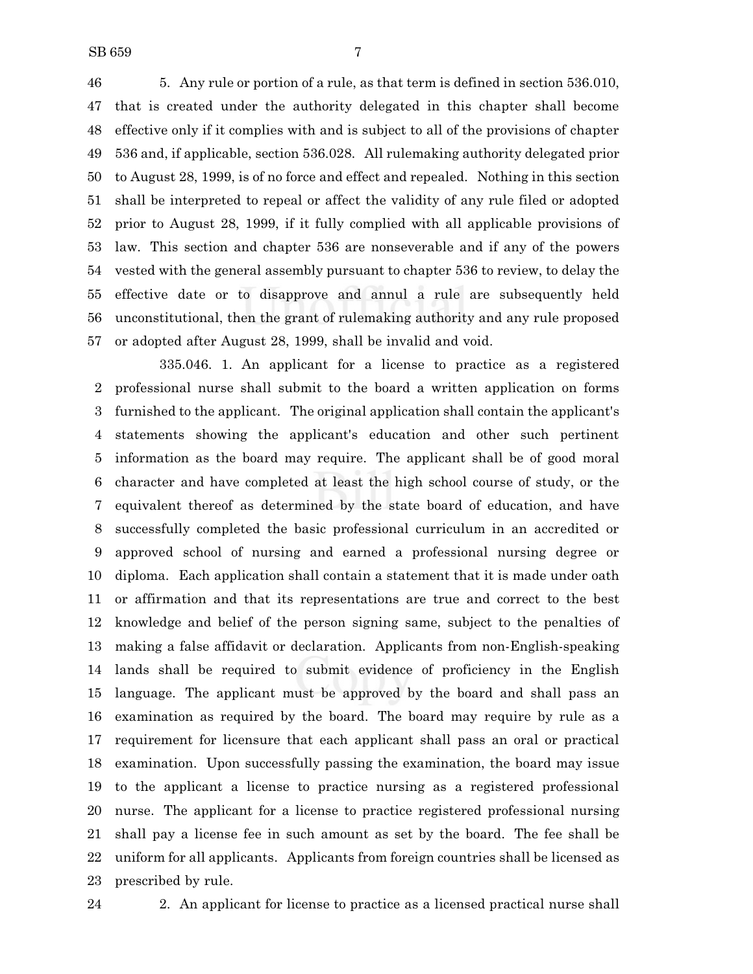5. Any rule or portion of a rule, as that term is defined in section 536.010, that is created under the authority delegated in this chapter shall become effective only if it complies with and is subject to all of the provisions of chapter 536 and, if applicable, section 536.028. All rulemaking authority delegated prior to August 28, 1999, is of no force and effect and repealed. Nothing in this section shall be interpreted to repeal or affect the validity of any rule filed or adopted prior to August 28, 1999, if it fully complied with all applicable provisions of law. This section and chapter 536 are nonseverable and if any of the powers vested with the general assembly pursuant to chapter 536 to review, to delay the effective date or to disapprove and annul a rule are subsequently held unconstitutional, then the grant of rulemaking authority and any rule proposed or adopted after August 28, 1999, shall be invalid and void.

335.046. 1. An applicant for a license to practice as a registered professional nurse shall submit to the board a written application on forms furnished to the applicant. The original application shall contain the applicant's statements showing the applicant's education and other such pertinent information as the board may require. The applicant shall be of good moral character and have completed at least the high school course of study, or the equivalent thereof as determined by the state board of education, and have successfully completed the basic professional curriculum in an accredited or approved school of nursing and earned a professional nursing degree or diploma. Each application shall contain a statement that it is made under oath or affirmation and that its representations are true and correct to the best knowledge and belief of the person signing same, subject to the penalties of making a false affidavit or declaration. Applicants from non-English-speaking lands shall be required to submit evidence of proficiency in the English language. The applicant must be approved by the board and shall pass an examination as required by the board. The board may require by rule as a requirement for licensure that each applicant shall pass an oral or practical examination. Upon successfully passing the examination, the board may issue to the applicant a license to practice nursing as a registered professional nurse. The applicant for a license to practice registered professional nursing shall pay a license fee in such amount as set by the board. The fee shall be uniform for all applicants. Applicants from foreign countries shall be licensed as prescribed by rule.

2. An applicant for license to practice as a licensed practical nurse shall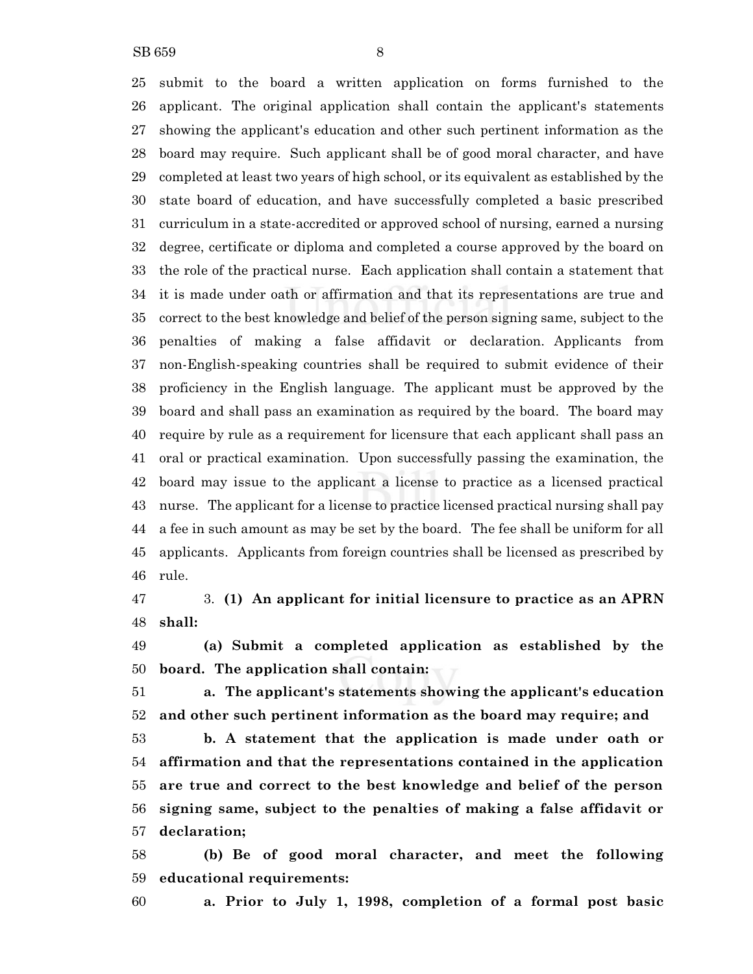SB 659 8

 submit to the board a written application on forms furnished to the applicant. The original application shall contain the applicant's statements showing the applicant's education and other such pertinent information as the board may require. Such applicant shall be of good moral character, and have completed at least two years of high school, or its equivalent as established by the state board of education, and have successfully completed a basic prescribed curriculum in a state-accredited or approved school of nursing, earned a nursing degree, certificate or diploma and completed a course approved by the board on the role of the practical nurse. Each application shall contain a statement that it is made under oath or affirmation and that its representations are true and correct to the best knowledge and belief of the person signing same, subject to the penalties of making a false affidavit or declaration. Applicants from non-English-speaking countries shall be required to submit evidence of their proficiency in the English language. The applicant must be approved by the board and shall pass an examination as required by the board. The board may require by rule as a requirement for licensure that each applicant shall pass an oral or practical examination. Upon successfully passing the examination, the board may issue to the applicant a license to practice as a licensed practical nurse. The applicant for a license to practice licensed practical nursing shall pay a fee in such amount as may be set by the board. The fee shall be uniform for all applicants. Applicants from foreign countries shall be licensed as prescribed by rule.

 3. **(1) An applicant for initial licensure to practice as an APRN shall:**

 **(a) Submit a completed application as established by the board. The application shall contain:**

 **a. The applicant's statements showing the applicant's education and other such pertinent information as the board may require; and**

 **b. A statement that the application is made under oath or affirmation and that the representations contained in the application are true and correct to the best knowledge and belief of the person signing same, subject to the penalties of making a false affidavit or declaration;**

 **(b) Be of good moral character, and meet the following educational requirements:**

**a. Prior to July 1, 1998, completion of a formal post basic**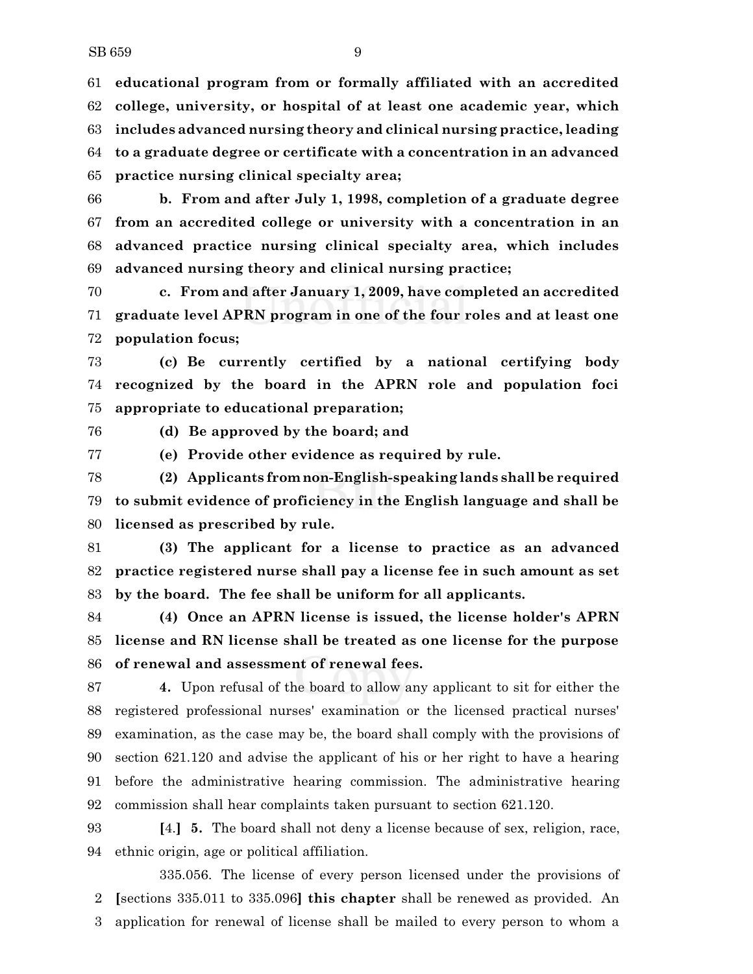**educational program from or formally affiliated with an accredited college, university, or hospital of at least one academic year, which includes advanced nursing theory and clinical nursing practice, leading to a graduate degree or certificate with a concentration in an advanced practice nursing clinical specialty area;**

 **b. From and after July 1, 1998, completion of a graduate degree from an accredited college or university with a concentration in an advanced practice nursing clinical specialty area, which includes advanced nursing theory and clinical nursing practice;**

 **c. From and after January 1, 2009, have completed an accredited graduate level APRN program in one of the four roles and at least one population focus;**

 **(c) Be currently certified by a national certifying body recognized by the board in the APRN role and population foci appropriate to educational preparation;**

**(d) Be approved by the board; and**

**(e) Provide other evidence as required by rule.**

 **(2) Applicants fromnon-English-speaking lands shall be required to submit evidence of proficiency in the English language and shall be licensed as prescribed by rule.**

 **(3) The applicant for a license to practice as an advanced practice registered nurse shall pay a license fee in such amount as set by the board. The fee shall be uniform for all applicants.**

 **(4) Once an APRN license is issued, the license holder's APRN license and RN license shall be treated as one license for the purpose of renewal and assessment of renewal fees.**

 **4.** Upon refusal of the board to allow any applicant to sit for either the registered professional nurses' examination or the licensed practical nurses' examination, as the case may be, the board shall comply with the provisions of section 621.120 and advise the applicant of his or her right to have a hearing before the administrative hearing commission. The administrative hearing commission shall hear complaints taken pursuant to section 621.120.

 **[**4.**] 5.** The board shall not deny a license because of sex, religion, race, ethnic origin, age or political affiliation.

335.056. The license of every person licensed under the provisions of **[**sections 335.011 to 335.096**] this chapter** shall be renewed as provided. An application for renewal of license shall be mailed to every person to whom a